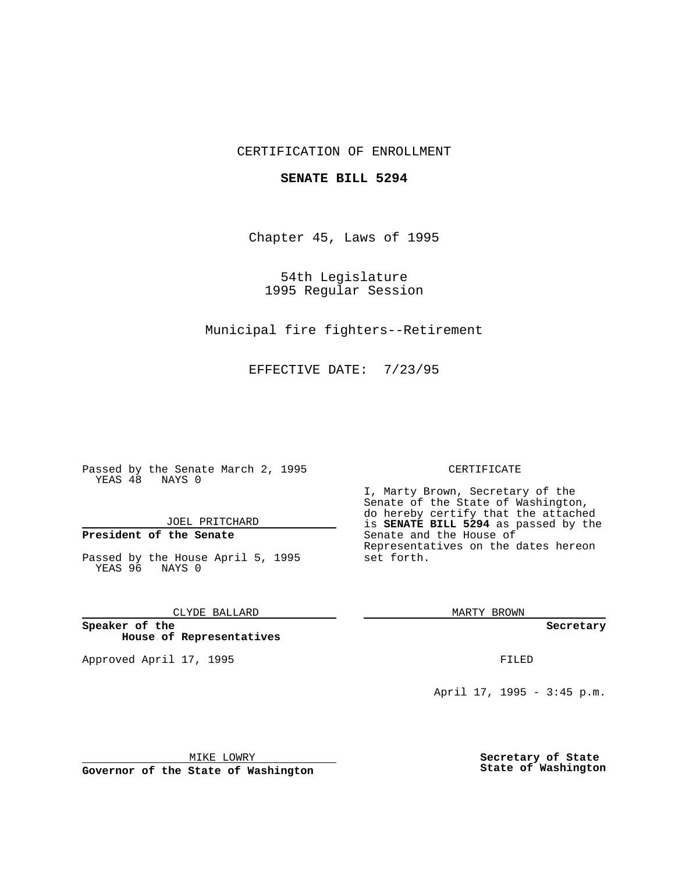## CERTIFICATION OF ENROLLMENT

### **SENATE BILL 5294**

Chapter 45, Laws of 1995

54th Legislature 1995 Regular Session

Municipal fire fighters--Retirement

EFFECTIVE DATE: 7/23/95

Passed by the Senate March 2, 1995 YEAS 48 NAYS 0

JOEL PRITCHARD

# **President of the Senate**

Passed by the House April 5, 1995 YEAS 96 NAYS 0

CLYDE BALLARD

**Speaker of the House of Representatives**

Approved April 17, 1995 **FILED** 

#### CERTIFICATE

I, Marty Brown, Secretary of the Senate of the State of Washington, do hereby certify that the attached is **SENATE BILL 5294** as passed by the Senate and the House of Representatives on the dates hereon set forth.

MARTY BROWN

**Secretary**

April 17, 1995 - 3:45 p.m.

MIKE LOWRY

**Governor of the State of Washington**

**Secretary of State State of Washington**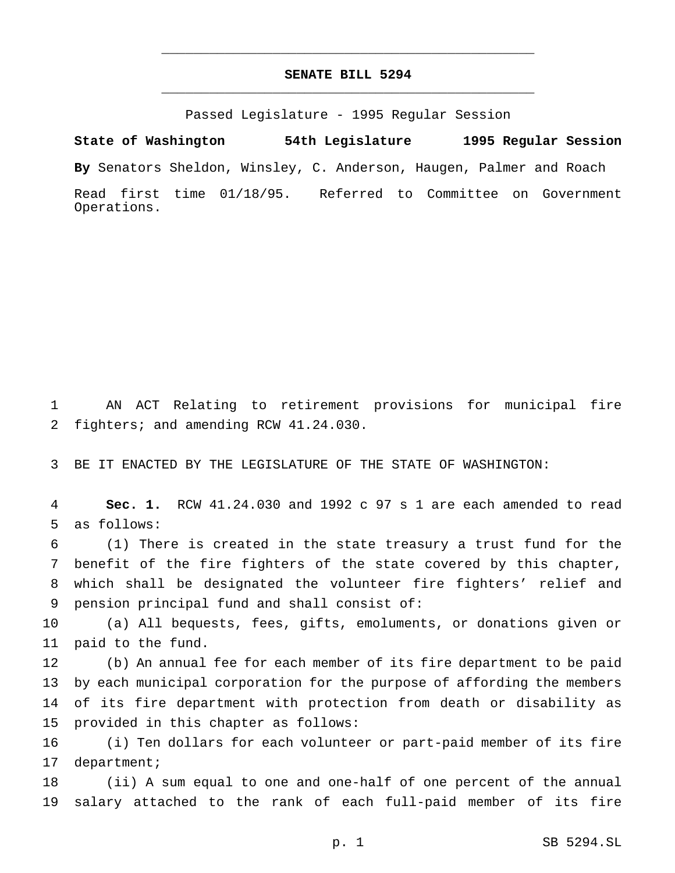## **SENATE BILL 5294** \_\_\_\_\_\_\_\_\_\_\_\_\_\_\_\_\_\_\_\_\_\_\_\_\_\_\_\_\_\_\_\_\_\_\_\_\_\_\_\_\_\_\_\_\_\_\_

\_\_\_\_\_\_\_\_\_\_\_\_\_\_\_\_\_\_\_\_\_\_\_\_\_\_\_\_\_\_\_\_\_\_\_\_\_\_\_\_\_\_\_\_\_\_\_

Passed Legislature - 1995 Regular Session

**State of Washington 54th Legislature 1995 Regular Session**

**By** Senators Sheldon, Winsley, C. Anderson, Haugen, Palmer and Roach

Read first time 01/18/95. Referred to Committee on Government Operations.

 AN ACT Relating to retirement provisions for municipal fire fighters; and amending RCW 41.24.030.

BE IT ENACTED BY THE LEGISLATURE OF THE STATE OF WASHINGTON:

 **Sec. 1.** RCW 41.24.030 and 1992 c 97 s 1 are each amended to read as follows:

 (1) There is created in the state treasury a trust fund for the benefit of the fire fighters of the state covered by this chapter, which shall be designated the volunteer fire fighters' relief and pension principal fund and shall consist of:

 (a) All bequests, fees, gifts, emoluments, or donations given or paid to the fund.

 (b) An annual fee for each member of its fire department to be paid by each municipal corporation for the purpose of affording the members of its fire department with protection from death or disability as provided in this chapter as follows:

 (i) Ten dollars for each volunteer or part-paid member of its fire department;

 (ii) A sum equal to one and one-half of one percent of the annual salary attached to the rank of each full-paid member of its fire

p. 1 SB 5294.SL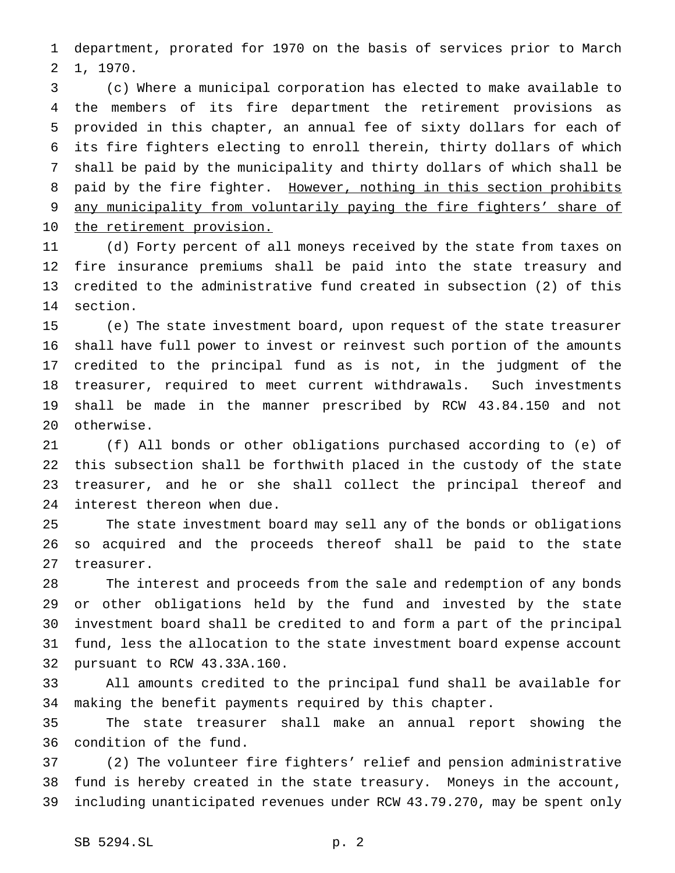department, prorated for 1970 on the basis of services prior to March 1, 1970.

 (c) Where a municipal corporation has elected to make available to the members of its fire department the retirement provisions as provided in this chapter, an annual fee of sixty dollars for each of its fire fighters electing to enroll therein, thirty dollars of which shall be paid by the municipality and thirty dollars of which shall be 8 paid by the fire fighter. However, nothing in this section prohibits 9 any municipality from voluntarily paying the fire fighters' share of 10 the retirement provision.

 (d) Forty percent of all moneys received by the state from taxes on fire insurance premiums shall be paid into the state treasury and credited to the administrative fund created in subsection (2) of this section.

 (e) The state investment board, upon request of the state treasurer shall have full power to invest or reinvest such portion of the amounts credited to the principal fund as is not, in the judgment of the treasurer, required to meet current withdrawals. Such investments shall be made in the manner prescribed by RCW 43.84.150 and not otherwise.

 (f) All bonds or other obligations purchased according to (e) of this subsection shall be forthwith placed in the custody of the state treasurer, and he or she shall collect the principal thereof and interest thereon when due.

 The state investment board may sell any of the bonds or obligations so acquired and the proceeds thereof shall be paid to the state treasurer.

 The interest and proceeds from the sale and redemption of any bonds or other obligations held by the fund and invested by the state investment board shall be credited to and form a part of the principal fund, less the allocation to the state investment board expense account pursuant to RCW 43.33A.160.

 All amounts credited to the principal fund shall be available for making the benefit payments required by this chapter.

 The state treasurer shall make an annual report showing the condition of the fund.

 (2) The volunteer fire fighters' relief and pension administrative fund is hereby created in the state treasury. Moneys in the account, including unanticipated revenues under RCW 43.79.270, may be spent only